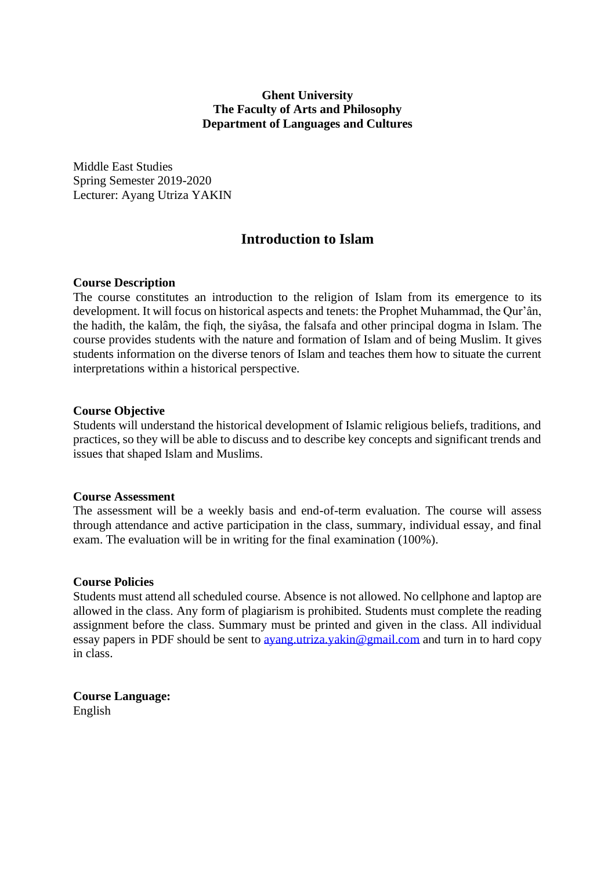# **Ghent University The Faculty of Arts and Philosophy Department of Languages and Cultures**

Middle East Studies Spring Semester 2019-2020 Lecturer: Ayang Utriza YAKIN

# **Introduction to Islam**

### **Course Description**

The course constitutes an introduction to the religion of Islam from its emergence to its development. It will focus on historical aspects and tenets: the Prophet Muhammad, the Qur'ân, the hadith, the kalâm, the fiqh, the siyâsa, the falsafa and other principal dogma in Islam. The course provides students with the nature and formation of Islam and of being Muslim. It gives students information on the diverse tenors of Islam and teaches them how to situate the current interpretations within a historical perspective.

#### **Course Objective**

Students will understand the historical development of Islamic religious beliefs, traditions, and practices, so they will be able to discuss and to describe key concepts and significant trends and issues that shaped Islam and Muslims.

### **Course Assessment**

The assessment will be a weekly basis and end-of-term evaluation. The course will assess through attendance and active participation in the class, summary, individual essay, and final exam. The evaluation will be in writing for the final examination (100%).

#### **Course Policies**

Students must attend all scheduled course. Absence is not allowed. No cellphone and laptop are allowed in the class. Any form of plagiarism is prohibited. Students must complete the reading assignment before the class. Summary must be printed and given in the class. All individual essay papers in PDF should be sent to <u>ayang.utriza.yakin@gmail.com</u> and turn in to hard copy in class.

**Course Language:** English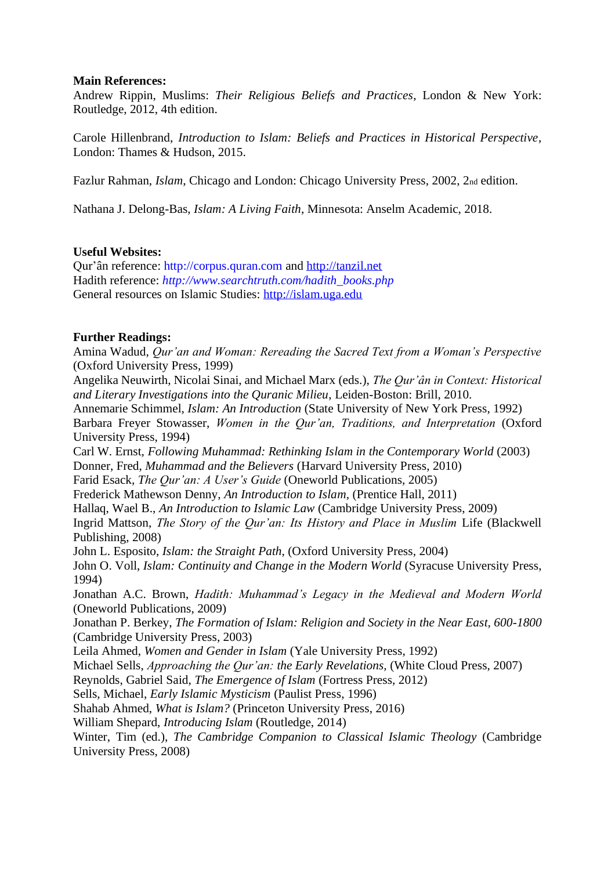## **Main References:**

Andrew Rippin, Muslims: *Their Religious Beliefs and Practices*, London & New York: Routledge, 2012, 4th edition.

Carole Hillenbrand, *Introduction to Islam: Beliefs and Practices in Historical Perspective*, London: Thames & Hudson, 2015.

Fazlur Rahman, *Islam*, Chicago and London: Chicago University Press, 2002, 2<sub>nd</sub> edition.

Nathana J. Delong-Bas, *Islam: A Living Faith*, Minnesota: Anselm Academic, 2018.

## **Useful Websites:**

Qur'ân reference: http://corpus.quran.com and [http://tanzil.net](http://tanzil.net/) Hadith reference: *http://www.searchtruth.com/hadith\_books.php*  General resources on Islamic Studies: [http://islam.uga.edu](http://islam.uga.edu/)

## **Further Readings:**

Amina Wadud, *Qur'an and Woman: Rereading the Sacred Text from a Woman's Perspective*  (Oxford University Press, 1999)

Angelika Neuwirth, Nicolai Sinai, and Michael Marx (eds.), *The Qur'ân in Context: Historical and Literary Investigations into the Quranic Milieu*, Leiden-Boston: Brill, 2010.

Annemarie Schimmel, *Islam: An Introduction* (State University of New York Press, 1992) Barbara Freyer Stowasser, *Women in the Qur'an, Traditions, and Interpretation* (Oxford University Press, 1994)

Carl W. Ernst, *Following Muhammad: Rethinking Islam in the Contemporary World* (2003) Donner, Fred, *Muhammad and the Believers* (Harvard University Press, 2010)

Farid Esack*, The Qur'an: A User's Guide* (Oneworld Publications, 2005)

Frederick Mathewson Denny, *An Introduction to Islam,* (Prentice Hall, 2011)

Hallaq, Wael B., *An Introduction to Islamic Law* (Cambridge University Press, 2009)

Ingrid Mattson, *The Story of the Qur'an: Its History and Place in Muslim* Life (Blackwell Publishing, 2008)

John L. Esposito, *Islam: the Straight Path*, (Oxford University Press, 2004)

John O. Voll, *Islam: Continuity and Change in the Modern World* (Syracuse University Press, 1994)

Jonathan A.C. Brown, *Hadith: Muhammad's Legacy in the Medieval and Modern World*  (Oneworld Publications, 2009)

Jonathan P. Berkey, *The Formation of Islam: Religion and Society in the Near East, 600-1800*  (Cambridge University Press, 2003)

Leila Ahmed, *Women and Gender in Islam* (Yale University Press, 1992)

Michael Sells, *Approaching the Qur'an: the Early Revelations,* (White Cloud Press, 2007)

Reynolds, Gabriel Said, *The Emergence of Islam* (Fortress Press, 2012)

Sells, Michael, *Early Islamic Mysticism* (Paulist Press, 1996)

Shahab Ahmed, *What is Islam?* (Princeton University Press, 2016)

William Shepard, *Introducing Islam* (Routledge, 2014)

Winter, Tim (ed.), *The Cambridge Companion to Classical Islamic Theology* (Cambridge University Press, 2008)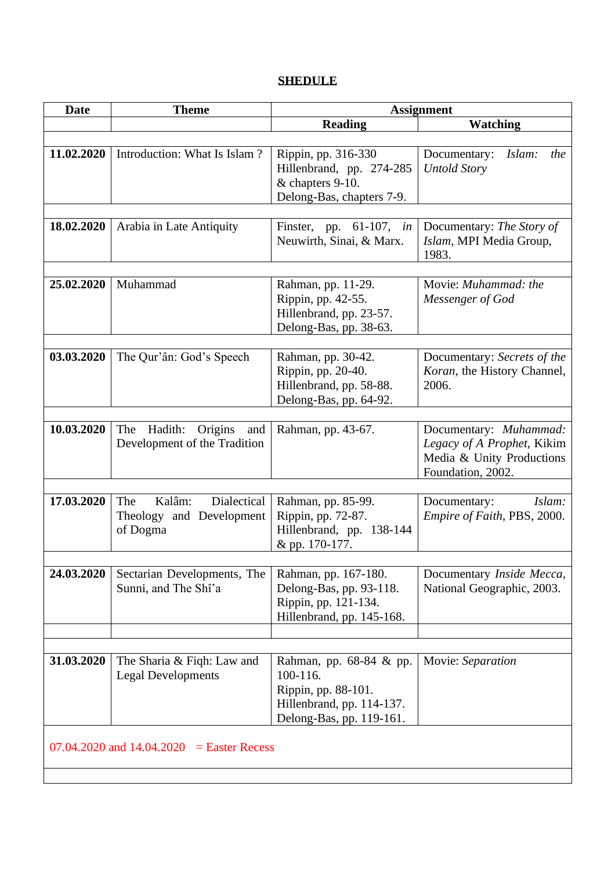# **SHEDULE**

| <b>Date</b>                                   | <b>Theme</b>                                                         | <b>Assignment</b>                                                                                                   |                                                                                                        |  |
|-----------------------------------------------|----------------------------------------------------------------------|---------------------------------------------------------------------------------------------------------------------|--------------------------------------------------------------------------------------------------------|--|
|                                               |                                                                      | <b>Reading</b>                                                                                                      | <b>Watching</b>                                                                                        |  |
|                                               |                                                                      |                                                                                                                     |                                                                                                        |  |
| 11.02.2020                                    | Introduction: What Is Islam?                                         | Rippin, pp. 316-330<br>Hillenbrand, pp. 274-285<br>& chapters 9-10.<br>Delong-Bas, chapters 7-9.                    | Islam:<br>Documentary:<br>the<br><b>Untold Story</b>                                                   |  |
|                                               |                                                                      |                                                                                                                     |                                                                                                        |  |
| 18.02.2020                                    | Arabia in Late Antiquity                                             | Finster, pp. $61-107$ , in<br>Neuwirth, Sinai, & Marx.                                                              | Documentary: The Story of<br>Islam, MPI Media Group,<br>1983.                                          |  |
|                                               |                                                                      |                                                                                                                     |                                                                                                        |  |
| 25.02.2020                                    | Muhammad                                                             | Rahman, pp. 11-29.<br>Rippin, pp. 42-55.<br>Hillenbrand, pp. 23-57.<br>Delong-Bas, pp. 38-63.                       | Movie: Muhammad: the<br>Messenger of God                                                               |  |
|                                               |                                                                      |                                                                                                                     |                                                                                                        |  |
| 03.03.2020                                    | The Qur'ân: God's Speech                                             | Rahman, pp. 30-42.<br>Rippin, pp. 20-40.<br>Hillenbrand, pp. 58-88.<br>Delong-Bas, pp. 64-92.                       | Documentary: Secrets of the<br>Koran, the History Channel,<br>2006.                                    |  |
|                                               |                                                                      |                                                                                                                     |                                                                                                        |  |
| 10.03.2020                                    | The Hadith:<br>Origins and<br>Development of the Tradition           | Rahman, pp. 43-67.                                                                                                  | Documentary: Muhammad:<br>Legacy of A Prophet, Kikim<br>Media & Unity Productions<br>Foundation, 2002. |  |
|                                               |                                                                      |                                                                                                                     |                                                                                                        |  |
| 17.03.2020                                    | Kalâm:<br>Dialectical<br>The<br>Theology and Development<br>of Dogma | Rahman, pp. 85-99.<br>Rippin, pp. 72-87.<br>Hillenbrand, pp. 138-144<br>& pp. 170-177.                              | Islam:<br>Documentary:<br>Empire of Faith, PBS, 2000.                                                  |  |
|                                               |                                                                      |                                                                                                                     |                                                                                                        |  |
| 24.03.2020                                    | Sectarian Developments, The<br>Sunni, and The Shî'a                  | Rahman, pp. 167-180.<br>Delong-Bas, pp. 93-118.<br>Rippin, pp. 121-134.<br>Hillenbrand, pp. 145-168.                | Documentary Inside Mecca,<br>National Geographic, 2003.                                                |  |
|                                               |                                                                      |                                                                                                                     |                                                                                                        |  |
|                                               |                                                                      |                                                                                                                     |                                                                                                        |  |
| 31.03.2020                                    | The Sharia & Fiqh: Law and<br><b>Legal Developments</b>              | Rahman, pp. 68-84 & pp.<br>100-116.<br>Rippin, pp. 88-101.<br>Hillenbrand, pp. 114-137.<br>Delong-Bas, pp. 119-161. | Movie: Separation                                                                                      |  |
| $07.04.2020$ and $14.04.2020$ = Easter Recess |                                                                      |                                                                                                                     |                                                                                                        |  |
|                                               |                                                                      |                                                                                                                     |                                                                                                        |  |